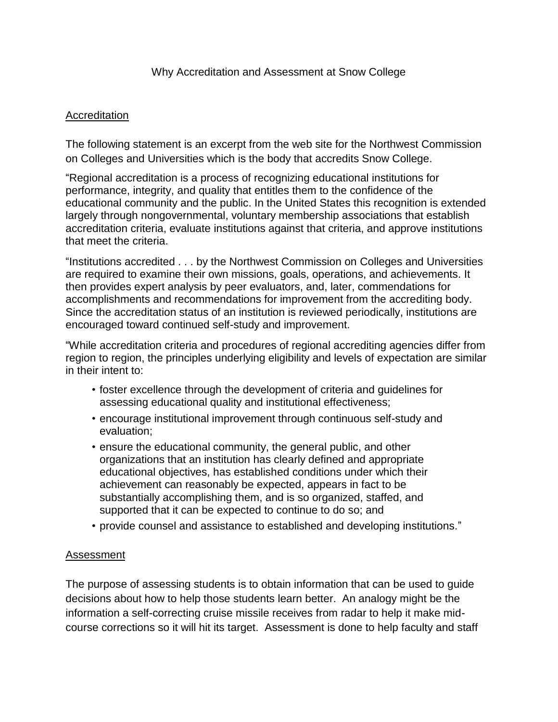## Accreditation

The following statement is an excerpt from the web site for the Northwest Commission on Colleges and Universities which is the body that accredits Snow College.

"Regional accreditation is a process of recognizing educational institutions for performance, integrity, and quality that entitles them to the confidence of the educational community and the public. In the United States this recognition is extended largely through nongovernmental, voluntary membership associations that establish accreditation criteria, evaluate institutions against that criteria, and approve institutions that meet the criteria.

"Institutions accredited . . . by the Northwest Commission on Colleges and Universities are required to examine their own missions, goals, operations, and achievements. It then provides expert analysis by peer evaluators, and, later, commendations for accomplishments and recommendations for improvement from the accrediting body. Since the accreditation status of an institution is reviewed periodically, institutions are encouraged toward continued self-study and improvement.

"While accreditation criteria and procedures of regional accrediting agencies differ from region to region, the principles underlying eligibility and levels of expectation are similar in their intent to:

- foster excellence through the development of criteria and guidelines for assessing educational quality and institutional effectiveness;
- encourage institutional improvement through continuous self-study and evaluation;
- ensure the educational community, the general public, and other organizations that an institution has clearly defined and appropriate educational objectives, has established conditions under which their achievement can reasonably be expected, appears in fact to be substantially accomplishing them, and is so organized, staffed, and supported that it can be expected to continue to do so; and
- provide counsel and assistance to established and developing institutions."

## Assessment

The purpose of assessing students is to obtain information that can be used to guide decisions about how to help those students learn better. An analogy might be the information a self-correcting cruise missile receives from radar to help it make midcourse corrections so it will hit its target. Assessment is done to help faculty and staff